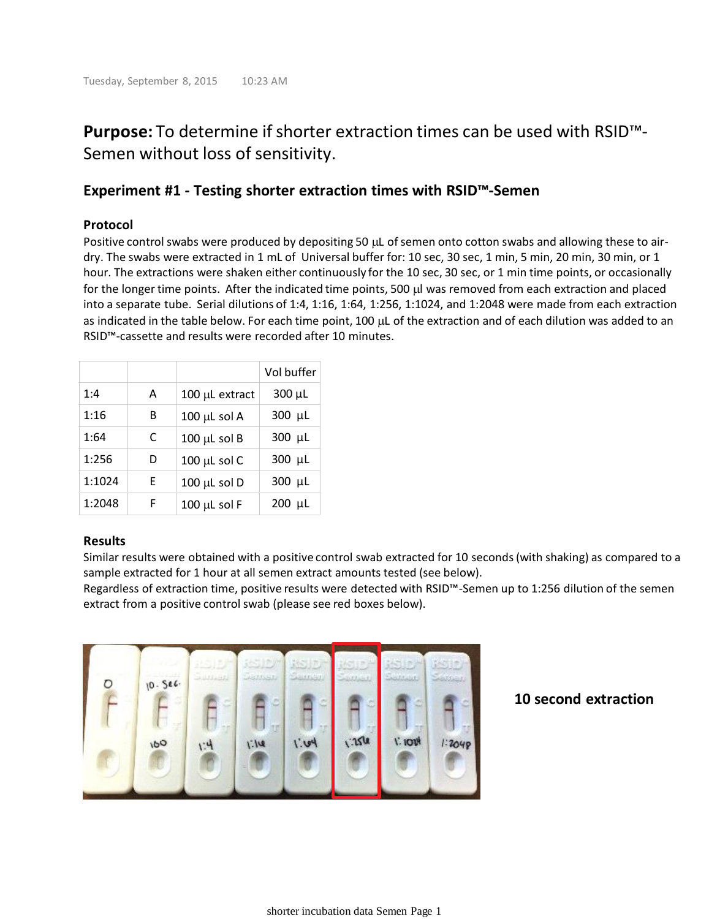# **Purpose:** To determine if shorter extraction times can be used with RSID™- Semen without loss of sensitivity.

### **Experiment #1 - Testing shorter extraction times with RSID™-Semen**

### **Protocol**

Positive control swabs were produced by depositing 50 µL of semen onto cotton swabs and allowing these to airdry. The swabs were extracted in 1 mL of Universal buffer for: 10 sec, 30 sec, 1 min, 5 min, 20 min, 30 min, or 1 hour. The extractions were shaken either continuously for the 10 sec, 30 sec, or 1 min time points, or occasionally for the longer time points. After the indicated time points, 500 µl was removed from each extraction and placed into a separate tube. Serial dilutions of 1:4, 1:16, 1:64, 1:256, 1:1024, and 1:2048 were made from each extraction as indicated in the table below. For each time point, 100  $\mu$ L of the extraction and of each dilution was added to an RSID™-cassette and results were recorded after 10 minutes.

|        |   |                   | Vol buffer  |
|--------|---|-------------------|-------------|
| 1:4    | Α | 100 µL extract    | $300 \mu L$ |
| 1:16   | В | $100 \mu L$ sol A | 300 µL      |
| 1:64   | C | $100 \mu L$ sol B | 300 µL      |
| 1:256  | D | 100 µL sol C      | 300 µL      |
| 1:1024 | F | $100 \mu L$ sol D | 300 µL      |
| 1:2048 | F | $100 \mu L$ sol F | 200 µL      |

### **Results**

Similar results were obtained with a positive control swab extracted for 10 seconds (with shaking) as compared to a sample extracted for 1 hour at all semen extract amounts tested (see below).

Regardless of extraction time, positive results were detected with RSID™-Semen up to 1:256 dilution of the semen extract from a positive control swab (please see red boxes below).



### **10 second extraction**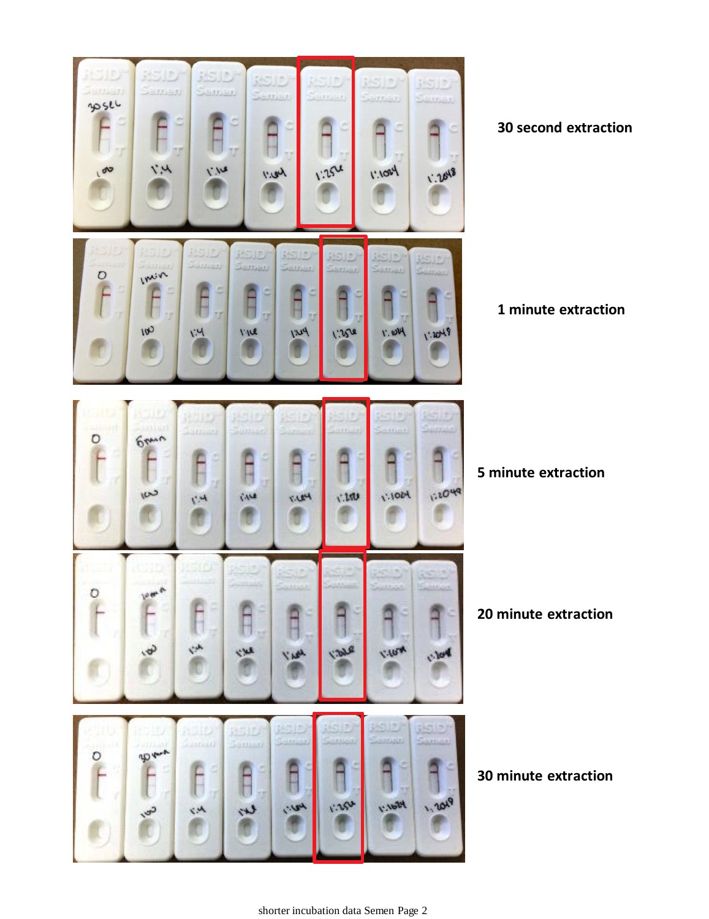

**30 second extraction**

**1 minute extraction**

**5 minute extraction**

**20 minute extraction**

**30 minute extraction**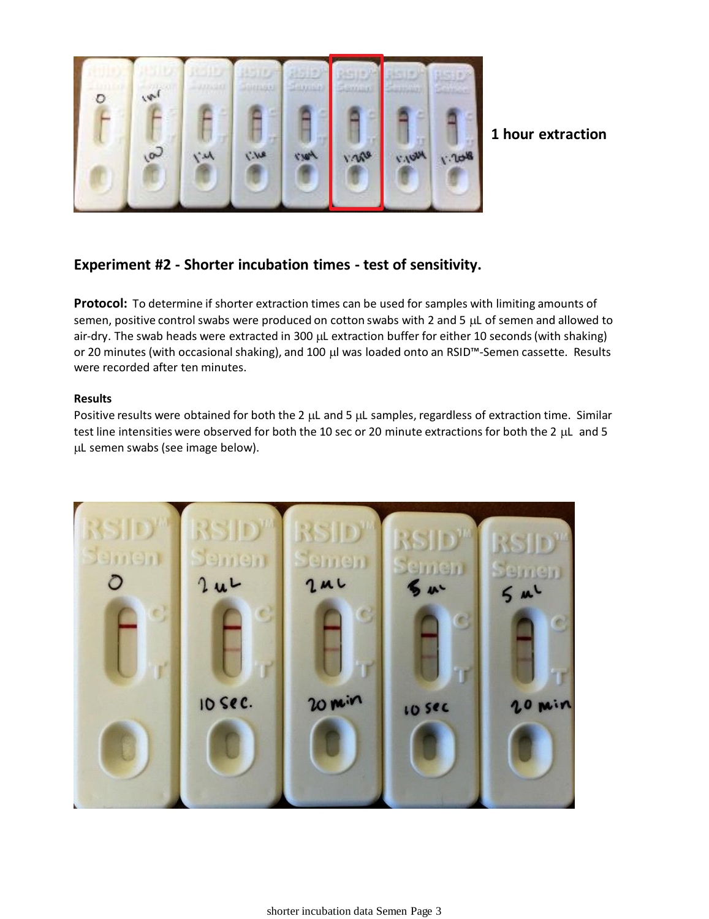

**1 hour extraction**

# **Experiment #2 - Shorter incubation times - test of sensitivity.**

**Protocol:** To determine if shorter extraction times can be used for samples with limiting amounts of semen, positive control swabs were produced on cotton swabs with 2 and 5  $\mu$ L of semen and allowed to air-dry. The swab heads were extracted in 300 µL extraction buffer for either 10 seconds (with shaking) or 20 minutes (with occasional shaking), and 100 µl was loaded onto an RSID<sup>™</sup>-Semen cassette. Results were recorded after ten minutes.

### **Results**

Positive results were obtained for both the 2  $\mu$ L and 5  $\mu$ L samples, regardless of extraction time. Similar test line intensities were observed for both the 10 sec or 20 minute extractions for both the 2 µL and 5 L semen swabs (see image below).

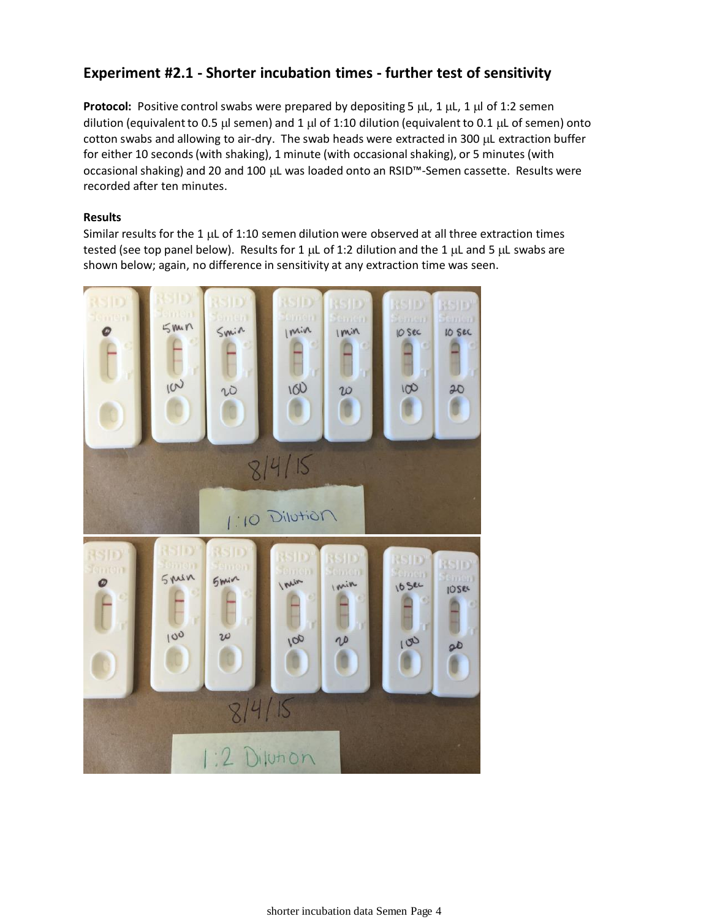# **Experiment #2.1 - Shorter incubation times - further test of sensitivity**

**Protocol:** Positive control swabs were prepared by depositing 5  $\mu$ L, 1  $\mu$ L, 1  $\mu$  of 1:2 semen dilution (equivalent to 0.5  $\mu$ l semen) and 1  $\mu$ l of 1:10 dilution (equivalent to 0.1  $\mu$ L of semen) onto cotton swabs and allowing to air-dry. The swab heads were extracted in 300 µL extraction buffer for either 10 seconds (with shaking), 1 minute (with occasional shaking), or 5 minutes (with occasional shaking) and 20 and 100 µL was loaded onto an RSID<sup>™</sup>-Semen cassette. Results were recorded after ten minutes.

#### **Results**

Similar results for the 1  $\mu$ L of 1:10 semen dilution were observed at all three extraction times tested (see top panel below). Results for 1  $\mu$ L of 1:2 dilution and the 1  $\mu$ L and 5  $\mu$ L swabs are shown below; again, no difference in sensitivity at any extraction time was seen.

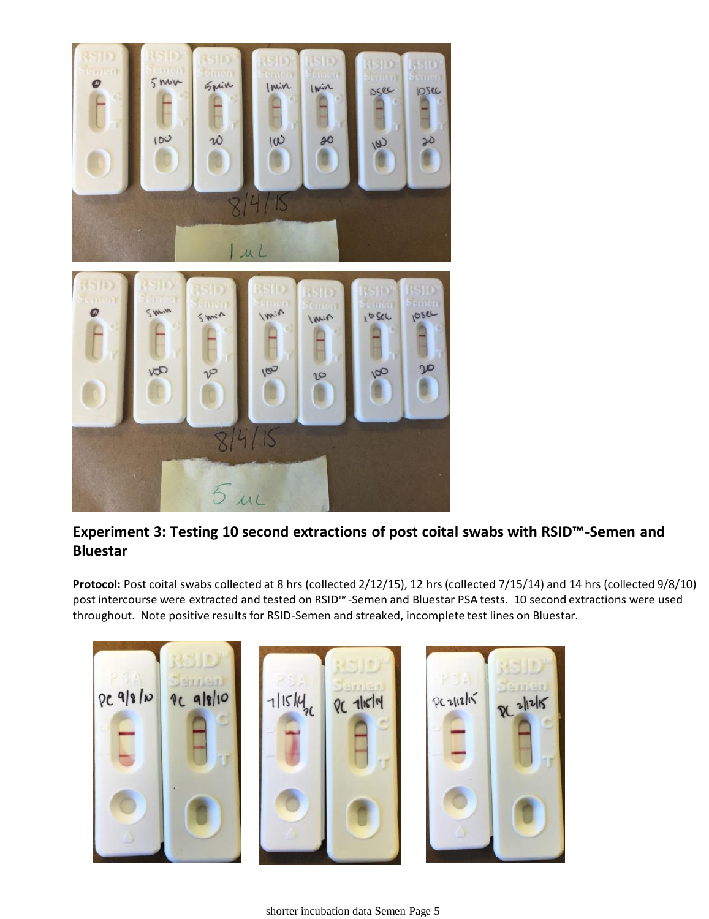

# **Experiment 3: Testing 10 second extractions of post coital swabs with RSID™-Semen and Bluestar**

**Protocol:** Post coital swabs collected at 8 hrs (collected 2/12/15), 12 hrs (collected 7/15/14) and 14 hrs (collected 9/8/10) post intercourse were extracted and tested on RSID™-Semen and Bluestar PSA tests. 10 second extractions were used throughout. Note positive results for RSID-Semen and streaked, incomplete test lines on Bluestar.

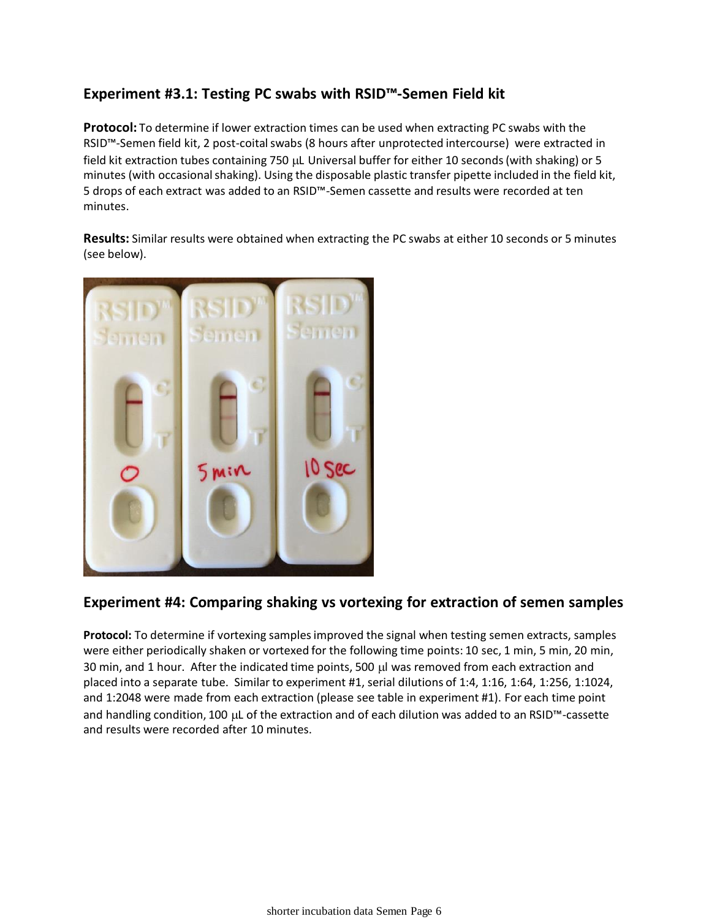# **Experiment #3.1: Testing PC swabs with RSID™-Semen Field kit**

**Protocol:** To determine if lower extraction times can be used when extracting PC swabs with the RSID™-Semen field kit, 2 post-coital swabs (8 hours after unprotected intercourse) were extracted in field kit extraction tubes containing 750 µL Universal buffer for either 10 seconds (with shaking) or 5 minutes (with occasional shaking). Using the disposable plastic transfer pipette included in the field kit, 5 drops of each extract was added to an RSID™-Semen cassette and results were recorded at ten minutes.

**Results:** Similar results were obtained when extracting the PC swabs at either 10 seconds or 5 minutes (see below).



# **Experiment #4: Comparing shaking vs vortexing for extraction of semen samples**

**Protocol:** To determine if vortexing samples improved the signal when testing semen extracts, samples were either periodically shaken or vortexed for the following time points: 10 sec, 1 min, 5 min, 20 min, 30 min, and 1 hour. After the indicated time points, 500 µl was removed from each extraction and placed into a separate tube. Similar to experiment #1, serial dilutions of 1:4, 1:16, 1:64, 1:256, 1:1024, and 1:2048 were made from each extraction (please see table in experiment #1). For each time point and handling condition, 100 µL of the extraction and of each dilution was added to an RSID™-cassette and results were recorded after 10 minutes.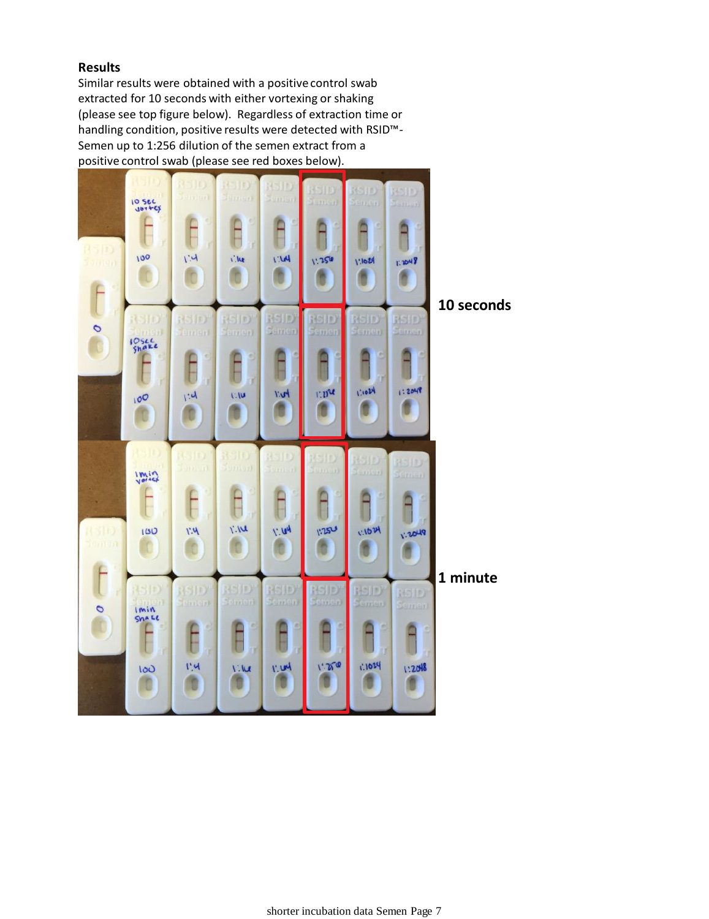### **Results**

Similar results were obtained with a positive control swab extracted for 10 seconds with either vortexing or shaking (please see top figure below). Regardless of extraction time or handling condition, positive results were detected with RSID™- Semen up to 1:256 dilution of the semen extract from a positive control swab (please see red boxes below).



**10 seconds**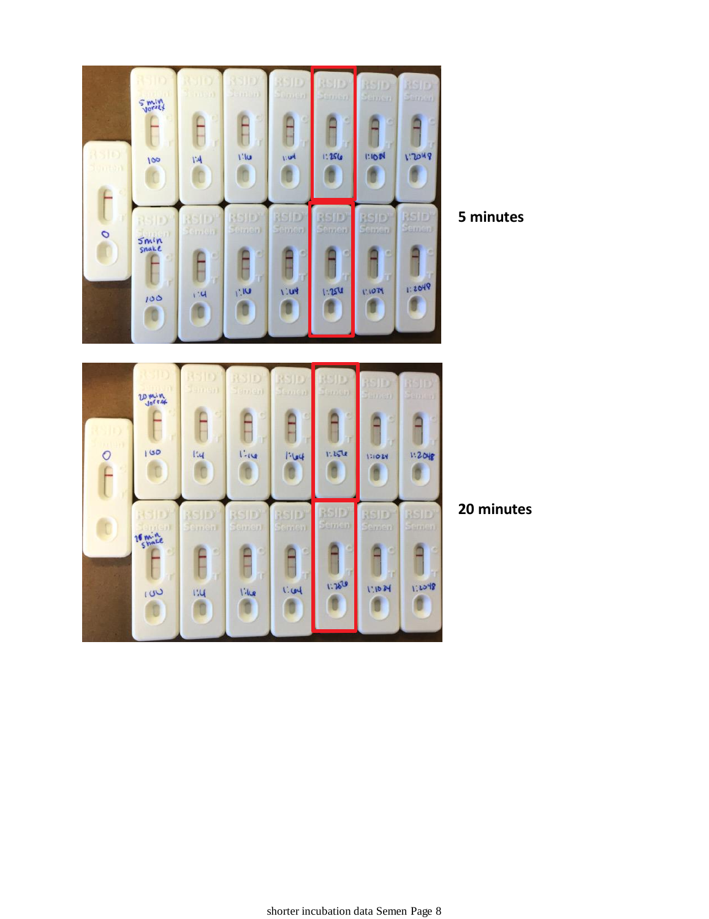

**5 minutes**



**20 minutes**